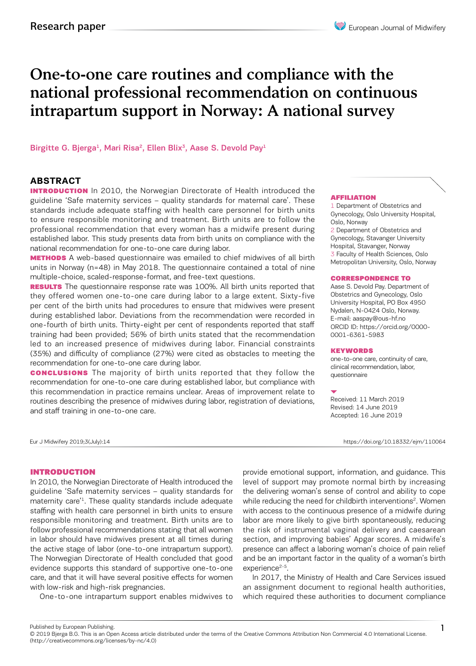# One-to-one care routines and compliance with the national professional recommendation on continuous intrapartum support in Norway: A national survey

Birgitte G. Bjerga<sup>1</sup>, Mari Risa<sup>2</sup>, Ellen Blix<sup>3</sup>, Aase S. Devold Pay<sup>1</sup>

# **ABSTRACT**

**INTRODUCTION** In 2010, the Norwegian Directorate of Health introduced the guideline 'Safe maternity services – quality standards for maternal care'. These standards include adequate staffing with health care personnel for birth units to ensure responsible monitoring and treatment. Birth units are to follow the professional recommendation that every woman has a midwife present during established labor. This study presents data from birth units on compliance with the national recommendation for one-to-one care during labor.

**METHODS** A web-based questionnaire was emailed to chief midwives of all birth units in Norway (n=48) in May 2018. The questionnaire contained a total of nine multiple-choice, scaled-response-format, and free-text questions.

**RESULTS** The questionnaire response rate was 100%. All birth units reported that they offered women one-to-one care during labor to a large extent. Sixty-five per cent of the birth units had procedures to ensure that midwives were present during established labor. Deviations from the recommendation were recorded in one-fourth of birth units. Thirty-eight per cent of respondents reported that staff training had been provided; 56% of birth units stated that the recommendation led to an increased presence of midwives during labor. Financial constraints (35%) and difficulty of compliance (27%) were cited as obstacles to meeting the recommendation for one-to-one care during labor.

**CONCLUSIONS** The majority of birth units reported that they follow the recommendation for one-to-one care during established labor, but compliance with this recommendation in practice remains unclear. Areas of improvement relate to routines describing the presence of midwives during labor, registration of deviations, and staff training in one-to-one care.

#### AFFILIATION

1 Department of Obstetrics and Gynecology, Oslo University Hospital, Oslo, Norway 2 Department of Obstetrics and

Gynecology, Stavanger University Hospital, Stavanger, Norway 3 Faculty of Health Sciences, Oslo Metropolitan University, Oslo, Norway

#### CORRESPONDENCE TO

Aase S. Devold Pay. Department of Obstetrics and Gynecology, Oslo University Hospital, PO Box 4950 Nydalen, N-0424 Oslo, Norway. E-mail: aaspay@ous-hf.no ORCID ID: https://orcid.org/0000- 0001-6361-5983

#### KEYWORDS

one-to-one care, continuity of care, clinical recommendation, labor, questionnaire

Received: 11 March 2019 Revised: 14 June 2019 Accepted: 16 June 2019

Eur J Midwifery 2019;3(July):14 https://doi.org/10.18332/ejm/110064

# INTRODUCTION

In 2010, the Norwegian Directorate of Health introduced the guideline 'Safe maternity services – quality standards for maternity care'1. These quality standards include adequate staffing with health care personnel in birth units to ensure responsible monitoring and treatment. Birth units are to follow professional recommendations stating that all women in labor should have midwives present at all times during the active stage of labor (one-to-one intrapartum support). The Norwegian Directorate of Health concluded that good evidence supports this standard of supportive one-to-one care, and that it will have several positive effects for women with low-risk and high-risk pregnancies.

One-to-one intrapartum support enables midwives to

provide emotional support, information, and guidance. This level of support may promote normal birth by increasing the delivering woman's sense of control and ability to cope while reducing the need for childbirth interventions<sup>2</sup>. Women with access to the continuous presence of a midwife during labor are more likely to give birth spontaneously, reducing the risk of instrumental vaginal delivery and caesarean section, and improving babies' Apgar scores. A midwife's presence can affect a laboring woman's choice of pain relief and be an important factor in the quality of a woman's birth experience<sup>2-5</sup>.

In 2017, the Ministry of Health and Care Services issued an assignment document to regional health authorities, which required these authorities to document compliance

Published by European Publishing.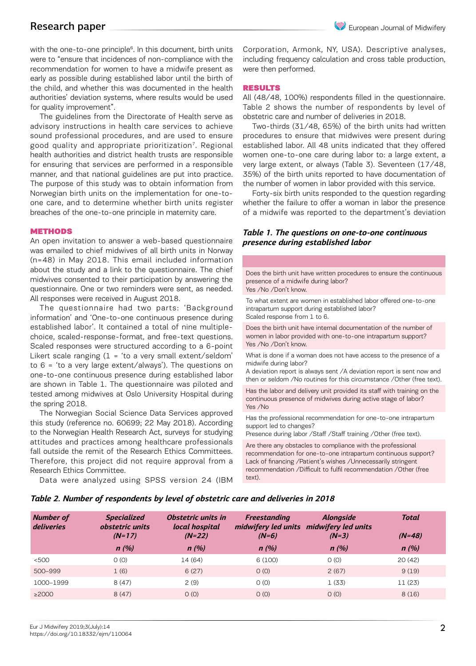# Research paper

with the one-to-one principle<sup>6</sup>. In this document, birth units were to "ensure that incidences of non-compliance with the recommendation for women to have a midwife present as early as possible during established labor until the birth of the child, and whether this was documented in the health authorities' deviation systems, where results would be used for quality improvement".

The guidelines from the Directorate of Health serve as advisory instructions in health care services to achieve sound professional procedures, and are used to ensure good quality and appropriate prioritization<sup>7</sup>. Regional health authorities and district health trusts are responsible for ensuring that services are performed in a responsible manner, and that national guidelines are put into practice. The purpose of this study was to obtain information from Norwegian birth units on the implementation for one-toone care, and to determine whether birth units register breaches of the one-to-one principle in maternity care.

### **METHODS**

An open invitation to answer a web-based questionnaire was emailed to chief midwives of all birth units in Norway (n=48) in May 2018. This email included information about the study and a link to the questionnaire. The chief midwives consented to their participation by answering the questionnaire. One or two reminders were sent, as needed. All responses were received in August 2018.

The questionnaire had two parts: 'Background information' and 'One-to-one continuous presence during established labor'. It contained a total of nine multiplechoice, scaled-response-format, and free-text questions. Scaled responses were structured according to a 6-point Likert scale ranging  $(1 - i\tau)$  a very small extent/seldom' to 6 = 'to a very large extent/always'). The questions on one-to-one continuous presence during established labor are shown in Table 1. The questionnaire was piloted and tested among midwives at Oslo University Hospital during the spring 2018.

The Norwegian Social Science Data Services approved this study (reference no. 60699; 22 May 2018). According to the Norwegian Health Research Act, surveys for studying attitudes and practices among healthcare professionals fall outside the remit of the Research Ethics Committees. Therefore, this project did not require approval from a Research Ethics Committee.

Data were analyzed using SPSS version 24 (IBM

Corporation, Armonk, NY, USA). Descriptive analyses, including frequency calculation and cross table production, were then performed.

### RESULTS

All (48/48, 100%) respondents filled in the questionnaire. Table 2 shows the number of respondents by level of obstetric care and number of deliveries in 2018.

Two-thirds (31/48, 65%) of the birth units had written procedures to ensure that midwives were present during established labor. All 48 units indicated that they offered women one-to-one care during labor to: a large extent, a very large extent, or always (Table 3). Seventeen (17/48, 35%) of the birth units reported to have documentation of the number of women in labor provided with this service.

Forty-six birth units responded to the question regarding whether the failure to offer a woman in labor the presence of a midwife was reported to the department's deviation

# *Table 1. The questions on one-to-one continuous presence during established labor*

Does the birth unit have written procedures to ensure the continuous presence of a midwife during labor? Yes /No /Don't know. To what extent are women in established labor offered one-to-one intrapartum support during established labor? Scaled response from 1 to 6. Does the birth unit have internal documentation of the number of women in labor provided with one-to-one intrapartum support? Yes /No /Don't know. What is done if a woman does not have access to the presence of a midwife during labor? A deviation report is always sent /A deviation report is sent now and then or seldom /No routines for this circumstance /Other (free text). Has the labor and delivery unit provided its staff with training on the continuous presence of midwives during active stage of labor? Yes /No Has the professional recommendation for one-to-one intrapartum support led to changes? Presence during labor /Staff /Staff training /Other (free text).

Are there any obstacles to compliance with the professional recommendation for one-to-one intrapartum continuous support? Lack of financing /Patient's wishes /Unnecessarily stringent recommendation /Difficult to fulfil recommendation /Other (free text).

### *Table 2. Number of respondents by level of obstetric care and deliveries in 2018*

| <b>Number of</b><br>deliveries | <b>Specialized</b><br>obstetric units | <i><b>Obstetric units in</b></i><br>local hospital | <b>Freestanding</b> | <b>Alongside</b><br>midwifery led units midwifery led units | Total    |
|--------------------------------|---------------------------------------|----------------------------------------------------|---------------------|-------------------------------------------------------------|----------|
|                                | $(N=17)$                              | $(N=22)$                                           | $(N=6)$             | $(N=3)$                                                     | $(N=48)$ |
|                                | n(%)                                  | n(%)                                               | n(%)                | n(%)                                                        | n(%)     |
| < 500                          | O(0)                                  | 14 (64)                                            | 6(100)              | O(0)                                                        | 20(42)   |
| 500-999                        | 1(6)                                  | 6(27)                                              | O(0)                | 2(67)                                                       | 9(19)    |
| 1000-1999                      | 8(47)                                 | 2(9)                                               | O(0)                | 1(33)                                                       | 11 (23)  |
| $\geq$ 2000                    | 8(47)                                 | O(0)                                               | O(0)                | O(0)                                                        | 8(16)    |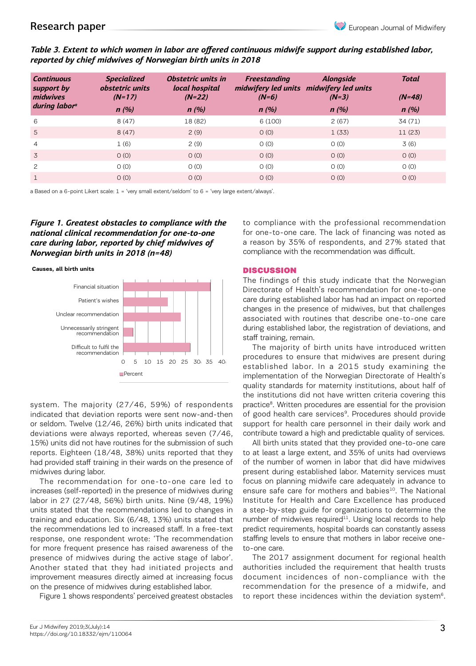# Research paper

# *Table 3. Extent to which women in labor are offered continuous midwife support during established labor, reported by chief midwives of Norwegian birth units in 2018*

| <b>Continuous</b><br>support by<br>midwives<br>during labor <sup>a</sup> | <b>Specialized</b><br>obstetric units<br>$(N=17)$<br>n(%) | Obstetric units in<br>local hospital<br>$(N=22)$<br>n(%) | Freestanding<br>$(N=6)$<br>n(%) | <b>Alongside</b><br>midwifery led units midwifery led units<br>$(N=3)$<br>n(%) | <b>Total</b><br>$(N=48)$<br>n(%) |
|--------------------------------------------------------------------------|-----------------------------------------------------------|----------------------------------------------------------|---------------------------------|--------------------------------------------------------------------------------|----------------------------------|
| 6                                                                        | 8(47)                                                     | 18 (82)                                                  | 6(100)                          | 2(67)                                                                          | 34 (71)                          |
| 5                                                                        | 8(47)                                                     | 2(9)                                                     | O(0)                            | 1(33)                                                                          | 11(23)                           |
| $\overline{4}$                                                           | 1(6)                                                      | 2(9)                                                     | O(0)                            | O(0)                                                                           | 3(6)                             |
| 3                                                                        | O(0)                                                      | O(0)                                                     | O(0)                            | O(0)                                                                           | O(0)                             |
| 2                                                                        | O(0)                                                      | O(0)                                                     | O(0)                            | O(0)                                                                           | O(0)                             |
|                                                                          | O(0)                                                      | O(0)                                                     | O(0)                            | O(0)                                                                           | O(0)                             |

a Based on a 6-point Likert scale: 1 = 'very small extent/seldom' to 6 = 'very large extent/always'.

*Figure 1. Greatest obstacles to compliance with the national clinical recommendation for one-to-one care during labor, reported by chief midwives of Norwegian birth units in 2018 (n=48)* 





system. The majority (27/46, 59%) of respondents indicated that deviation reports were sent now-and-then or seldom. Twelve (12/46, 26%) birth units indicated that deviations were always reported, whereas seven (7/46, 15%) units did not have routines for the submission of such reports. Eighteen (18/48, 38%) units reported that they had provided staff training in their wards on the presence of midwives during labor.

The recommendation for one-to-one care led to increases (self-reported) in the presence of midwives during labor in 27 (27/48, 56%) birth units. Nine (9/48, 19%) units stated that the recommendations led to changes in training and education. Six (6/48, 13%) units stated that the recommendations led to increased staff. In a free-text response, one respondent wrote: 'The recommendation for more frequent presence has raised awareness of the presence of midwives during the active stage of labor'. Another stated that they had initiated projects and improvement measures directly aimed at increasing focus on the presence of midwives during established labor.

Figure 1 shows respondents' perceived greatest obstacles

to compliance with the professional recommendation for one-to-one care. The lack of financing was noted as a reason by 35% of respondents, and 27% stated that compliance with the recommendation was difficult.

### **DISCUSSION**

The findings of this study indicate that the Norwegian Directorate of Health's recommendation for one-to-one care during established labor has had an impact on reported changes in the presence of midwives, but that challenges associated with routines that describe one-to-one care during established labor, the registration of deviations, and staff training, remain.

The majority of birth units have introduced written procedures to ensure that midwives are present during established labor. In a 2015 study examining the implementation of the Norwegian Directorate of Health's quality standards for maternity institutions, about half of the institutions did not have written criteria covering this practice<sup>8</sup>. Written procedures are essential for the provision of good health care services<sup>9</sup>. Procedures should provide support for health care personnel in their daily work and contribute toward a high and predictable quality of services.

All birth units stated that they provided one-to-one care to at least a large extent, and 35% of units had overviews of the number of women in labor that did have midwives present during established labor. Maternity services must focus on planning midwife care adequately in advance to ensure safe care for mothers and babies<sup>10</sup>. The National Institute for Health and Care Excellence has produced a step-by-step guide for organizations to determine the number of midwives required $11$ . Using local records to help predict requirements, hospital boards can constantly assess staffing levels to ensure that mothers in labor receive oneto-one care.

The 2017 assignment document for regional health authorities included the requirement that health trusts document incidences of non-compliance with the recommendation for the presence of a midwife, and to report these incidences within the deviation system<sup>6</sup>.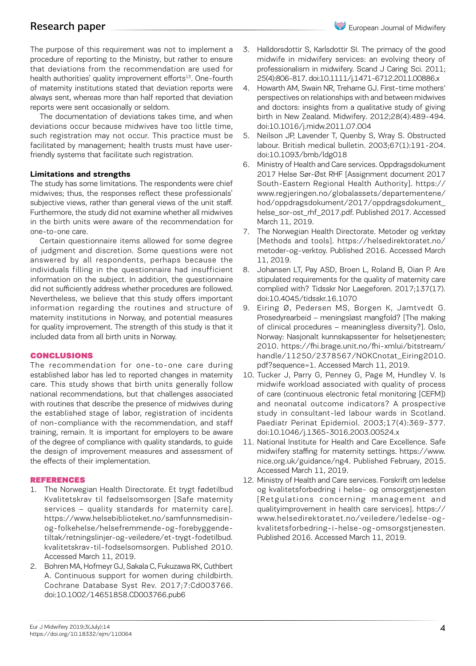# Research paper

The purpose of this requirement was not to implement a procedure of reporting to the Ministry, but rather to ensure that deviations from the recommendation are used for health authorities' quality improvement efforts<sup>12</sup>. One-fourth of maternity institutions stated that deviation reports were always sent, whereas more than half reported that deviation reports were sent occasionally or seldom.

The documentation of deviations takes time, and when deviations occur because midwives have too little time, such registration may not occur. This practice must be facilitated by management; health trusts must have userfriendly systems that facilitate such registration.

# **Limitations and strengths**

The study has some limitations. The respondents were chief midwives; thus, the responses reflect these professionals' subjective views, rather than general views of the unit staff. Furthermore, the study did not examine whether all midwives in the birth units were aware of the recommendation for one-to-one care.

Certain questionnaire items allowed for some degree of judgment and discretion. Some questions were not answered by all respondents, perhaps because the individuals filling in the questionnaire had insufficient information on the subject. In addition, the questionnaire did not sufficiently address whether procedures are followed. Nevertheless, we believe that this study offers important information regarding the routines and structure of maternity institutions in Norway, and potential measures for quality improvement. The strength of this study is that it included data from all birth units in Norway.

# CONCLUSIONS

The recommendation for one-to-one care during established labor has led to reported changes in maternity care. This study shows that birth units generally follow national recommendations, but that challenges associated with routines that describe the presence of midwives during the established stage of labor, registration of incidents of non-compliance with the recommendation, and staff training, remain. It is important for employers to be aware of the degree of compliance with quality standards, to guide the design of improvement measures and assessment of the effects of their implementation.

# REFERENCES

- 1. The Norwegian Health Directorate. Et trygt fødetilbud Kvalitetskrav til fødselsomsorgen [Safe maternity services – quality standards for maternity care]. https://www.helsebiblioteket.no/samfunnsmedisinog-folkehelse/helsefremmende-og-forebyggendetiltak/retningslinjer-og-veiledere/et-trygt-fodetilbud. kvalitetskrav-til-fodselsomsorgen. Published 2010. Accessed March 11, 2019.
- 2. Bohren MA, Hofmeyr GJ, Sakala C, Fukuzawa RK, Cuthbert A. Continuous support for women during childbirth. Cochrane Database Syst Rev. 2017;7:Cd003766. doi:10.1002/14651858.CD003766.pub6
- 3. Halldorsdottir S, Karlsdottir SI. The primacy of the good midwife in midwifery services: an evolving theory of professionalism in midwifery. Scand J Caring Sci. 2011; 25(4):806-817. doi:10.1111/j.1471-6712.2011.00886.x
- 4. Howarth AM, Swain NR, Treharne GJ. First-time mothers' perspectives on relationships with and between midwives and doctors: insights from a qualitative study of giving birth in New Zealand. Midwifery. 2012;28(4):489-494. doi:10.1016/j.midw.2011.07.004
- 5. Neilson JP, Lavender T, Quenby S, Wray S. Obstructed labour. British medical bulletin. 2003;67(1):191-204. doi:10.1093/bmb/ldg018
- 6. Ministry of Health and Care services. Oppdragsdokument 2017 Helse Sør-Øst RHF [Assignment document 2017 South-Eastern Regional Health Authority]. https:// www.regjeringen.no/globalassets/departementene/ hod/oppdragsdokument/2017/oppdragsdokument\_ helse\_sor-ost\_rhf\_2017.pdf. Published 2017. Accessed March 11, 2019.
- 7. The Norwegian Health Directorate. Metoder og verktøy [Methods and tools]. https://helsedirektoratet.no/ metoder-og-verktoy. Published 2016. Accessed March 11, 2019.
- 8. Johansen LT, Pay ASD, Broen L, Roland B, Oian P. Are stipulated requirements for the quality of maternity care complied with? Tidsskr Nor Laegeforen. 2017;137(17). doi:10.4045/tidsskr.16.1070
- 9. Eiring Ø, Pedersen MS, Borgen K, Jamtvedt G. Prosedyrearbeid – meningsløst mangfold? [The making of clinical procedures – meaningless diversity?]. Oslo, Norway: Nasjonalt kunnskapssenter for helsetjenesten; 2010. https://fhi.brage.unit.no/fhi-xmlui/bitstream/ handle/11250/2378567/NOKCnotat\_Eiring2010. pdf?sequence=1. Accessed March 11, 2019.
- 10. Tucker J, Parry G, Penney G, Page M, Hundley V. Is midwife workload associated with quality of process of care (continuous electronic fetal monitoring [CEFM]) and neonatal outcome indicators? A prospective study in consultant-led labour wards in Scotland. Paediatr Perinat Epidemiol. 2003;17(4):369-377. doi:10.1046/j.1365-3016.2003.00524.x
- 11. National Institute for Health and Care Excellence. Safe midwifery staffing for maternity settings. https://www. nice.org.uk/guidance/ng4. Published February, 2015. Accessed March 11, 2019.
- 12. Ministry of Health and Care services. Forskrift om ledelse og kvalitetsforbedring i helse- og omsorgstjenesten [Retgulations concerning management and qualityimprovement in health care services]. https:// www.helsedirektoratet.no/veiledere/ledelse-ogkvalitetsforbedring-i-helse-og-omsorgstjenesten. Published 2016. Accessed March 11, 2019.